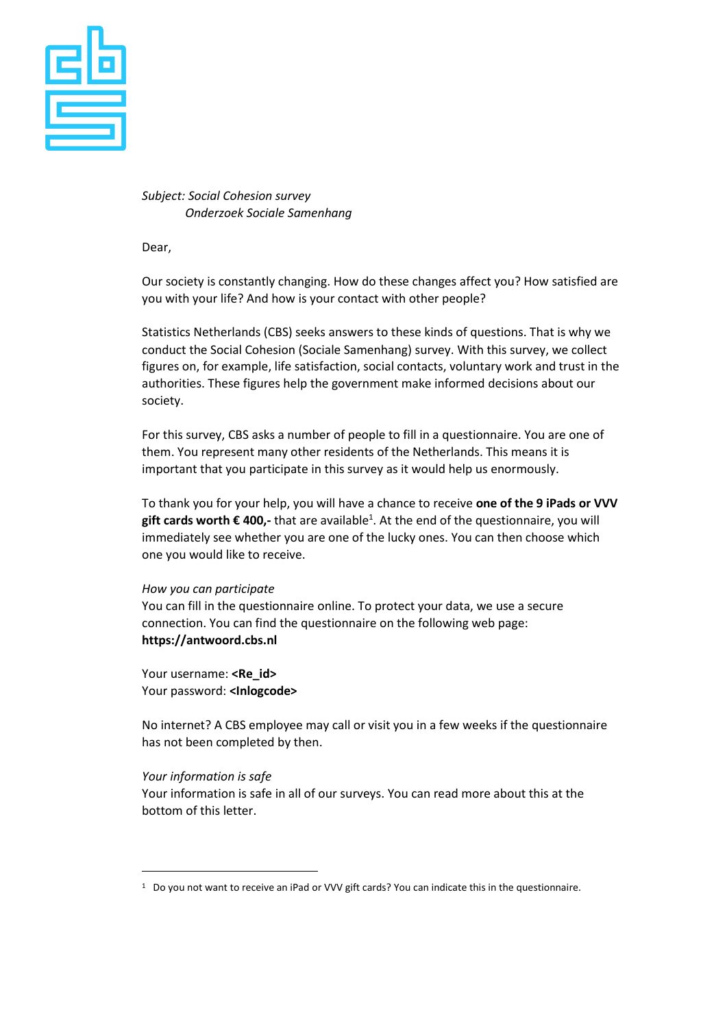

## *Subject: Social Cohesion survey Onderzoek Sociale Samenhang*

Dear,

Our society is constantly changing. How do these changes affect you? How satisfied are you with your life? And how is your contact with other people?

Statistics Netherlands (CBS) seeks answers to these kinds of questions. That is why we conduct the Social Cohesion (Sociale Samenhang) survey. With this survey, we collect figures on, for example, life satisfaction, social contacts, voluntary work and trust in the authorities. These figures help the government make informed decisions about our society.

For this survey, CBS asks a number of people to fill in a questionnaire. You are one of them. You represent many other residents of the Netherlands. This means it is important that you participate in this survey as it would help us enormously.

To thank you for your help, you will have a chance to receive **one of the 9 iPads or VVV gift cards worth € 400,-** that are available<sup>1</sup> . At the end of the questionnaire, you will immediately see whether you are one of the lucky ones. You can then choose which one you would like to receive.

## *How you can participate*

You can fill in the questionnaire online. To protect your data, we use a secure connection. You can find the questionnaire on the following web page: **https://antwoord.cbs.nl**

Your username: <Re id> Your password: **<Inlogcode>**

No internet? A CBS employee may call or visit you in a few weeks if the questionnaire has not been completed by then.

## *Your information is safe*

-

Your information is safe in all of our surveys. You can read more about this at the bottom of this letter.

<sup>&</sup>lt;sup>1</sup> Do you not want to receive an iPad or VVV gift cards? You can indicate this in the questionnaire.